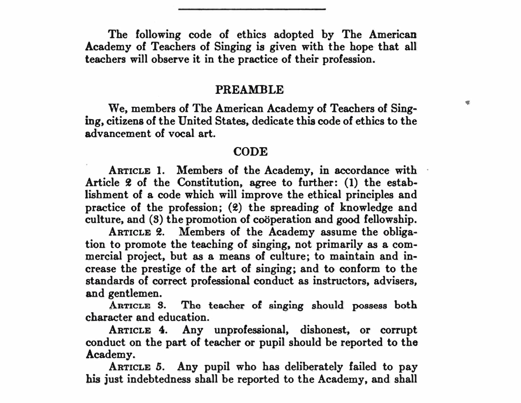**The following code of ethics adopted by The American Academy of Teachers of Singing is given with the hope that all teachers will observe it in the practice of their profession.** 

## PREAMBLE

 $\blacksquare$ 

**We, members of The American Academy of Teachers of Singing, citizens of the United States, dedicate thia code of ethics to the advancement of vocal art.** 

## **CODE**

ARTICLE 1. Members of the Academy, in accordance with Article 2 of the Constitution, agree to further: (1) the estab**lishment of a code which will improve the ethical principles and practice of the profession; (2) the spreading of knowledge and culture, and (S) the promotion of cooperation and good fellowship.** 

**ARTICLE 2. Members of the Academy assume the obligation to promote the teaching of singing, not primarily as a commercial project, but as a means of culture; to maintain and increase the prestige of the art of singing; and to conform to the standards of correct professional conduct as instructors, advisers, and gentlemen.** 

**AnTtCLE S.** Tho **teacher of singing should possess both character and education.** 

**ARTICLE 4. Any unprofessional, dishonest, or corrupt conduct on the part of teacher or pupil should be reported to the Academy.** 

**ARTICLE** *5.* **Any pupil who has deliberately failed to pay his just indebtedness shall be reported to the Academy, and shall**